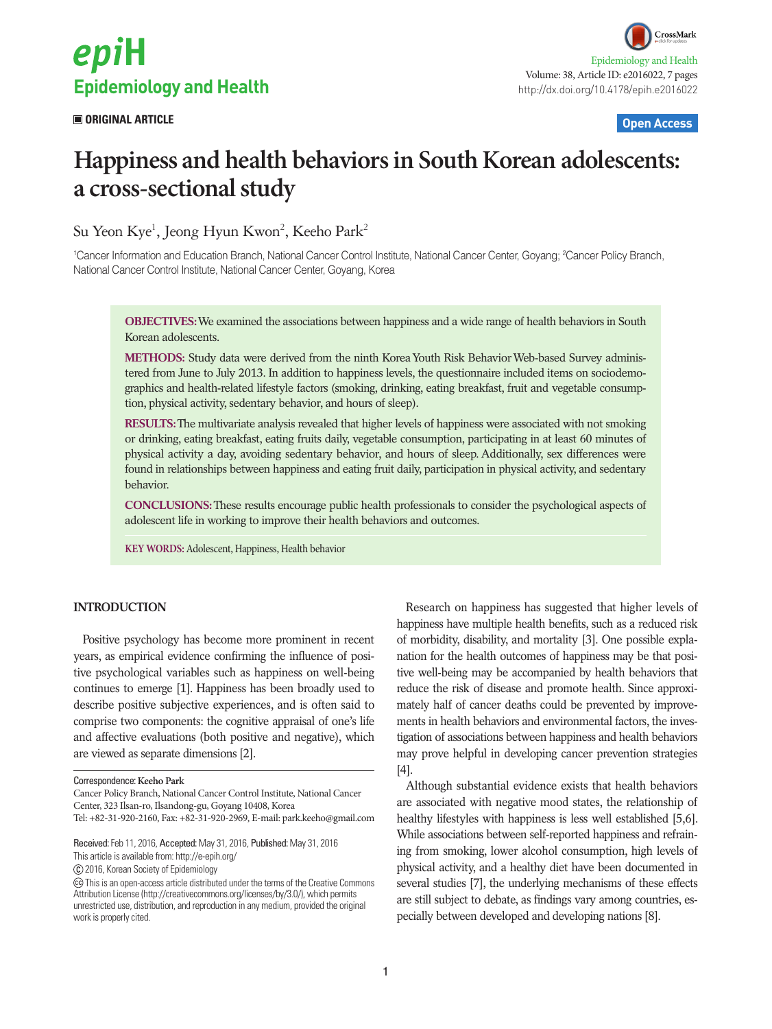# epiH **Epidemiology and Health**

### **ORIGINAL ARTICLE Open Access**

## **Happiness and health behaviors in South Korean adolescents: a cross-sectional study**

Su Yeon Kye<sup>1</sup>, Jeong Hyun Kwon<sup>2</sup>, Keeho Park<sup>2</sup>

<sup>1</sup>Cancer Information and Education Branch, National Cancer Control Institute, National Cancer Center, Goyang; <sup>2</sup>Cancer Policy Branch, National Cancer Control Institute, National Cancer Center, Goyang, Korea

**OBJECTIVES:** We examined the associations between happiness and a wide range of health behaviors in South Korean adolescents.

**METHODS:** Study data were derived from the ninth Korea Youth Risk Behavior Web-based Survey administered from June to July 2013. In addition to happiness levels, the questionnaire included items on sociodemographics and health-related lifestyle factors (smoking, drinking, eating breakfast, fruit and vegetable consumption, physical activity, sedentary behavior, and hours of sleep).

**RESULTS:** The multivariate analysis revealed that higher levels of happiness were associated with not smoking or drinking, eating breakfast, eating fruits daily, vegetable consumption, participating in at least 60 minutes of physical activity a day, avoiding sedentary behavior, and hours of sleep. Additionally, sex differences were found in relationships between happiness and eating fruit daily, participation in physical activity, and sedentary behavior.

**CONCLUSIONS:** These results encourage public health professionals to consider the psychological aspects of adolescent life in working to improve their health behaviors and outcomes.

**KEY WORDS:** Adolescent, Happiness, Health behavior

#### **INTRODUCTION**

Positive psychology has become more prominent in recent years, as empirical evidence confirming the influence of positive psychological variables such as happiness on well-being continues to emerge [1]. Happiness has been broadly used to describe positive subjective experiences, and is often said to comprise two components: the cognitive appraisal of one's life and affective evaluations (both positive and negative), which are viewed as separate dimensions [2].

This article is available from: http://e-epih.org/

2016, Korean Society of Epidemiology

Research on happiness has suggested that higher levels of happiness have multiple health benefits, such as a reduced risk of morbidity, disability, and mortality [3]. One possible explanation for the health outcomes of happiness may be that positive well-being may be accompanied by health behaviors that reduce the risk of disease and promote health. Since approximately half of cancer deaths could be prevented by improvements in health behaviors and environmental factors, the investigation of associations between happiness and health behaviors may prove helpful in developing cancer prevention strategies [4].

Although substantial evidence exists that health behaviors are associated with negative mood states, the relationship of healthy lifestyles with happiness is less well established [5,6]. While associations between self-reported happiness and refraining from smoking, lower alcohol consumption, high levels of physical activity, and a healthy diet have been documented in several studies [7], the underlying mechanisms of these effects are still subject to debate, as findings vary among countries, especially between developed and developing nations [8].

Correspondence: **Keeho Park**

Cancer Policy Branch, National Cancer Control Institute, National Cancer Center, 323 Ilsan-ro, Ilsandong-gu, Goyang 10408, Korea

Tel: +82-31-920-2160, Fax: +82-31-920-2969, E-mail: park.keeho@gmail.com

Received: Feb 11, 2016, Accepted: May 31, 2016, Published: May 31, 2016

This is an open-access article distributed under the terms of the Creative Commons Attribution License (http://creativecommons.org/licenses/by/3.0/), which permits unrestricted use, distribution, and reproduction in any medium, provided the original work is properly cited.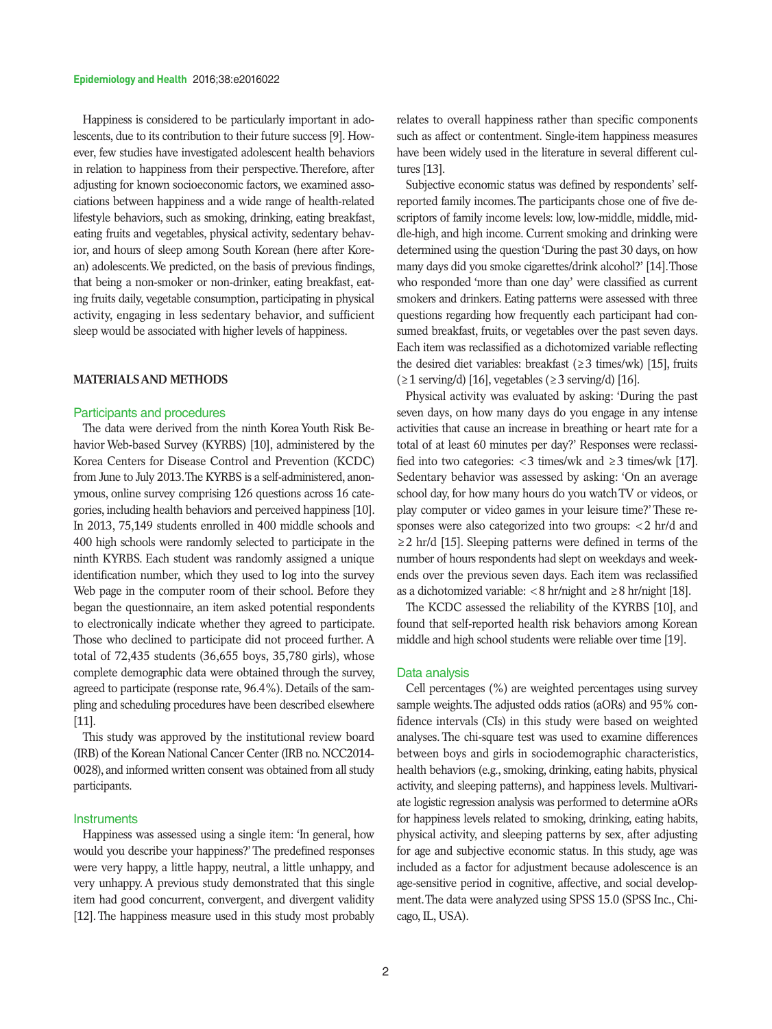Happiness is considered to be particularly important in adolescents, due to its contribution to their future success [9]. However, few studies have investigated adolescent health behaviors in relation to happiness from their perspective. Therefore, after adjusting for known socioeconomic factors, we examined associations between happiness and a wide range of health-related lifestyle behaviors, such as smoking, drinking, eating breakfast, eating fruits and vegetables, physical activity, sedentary behavior, and hours of sleep among South Korean (here after Korean) adolescents. We predicted, on the basis of previous findings, that being a non-smoker or non-drinker, eating breakfast, eating fruits daily, vegetable consumption, participating in physical activity, engaging in less sedentary behavior, and sufficient sleep would be associated with higher levels of happiness.

#### **MATERIALS AND METHODS**

#### Participants and procedures

The data were derived from the ninth Korea Youth Risk Behavior Web-based Survey (KYRBS) [10], administered by the Korea Centers for Disease Control and Prevention (KCDC) from June to July 2013. The KYRBS is a self-administered, anonymous, online survey comprising 126 questions across 16 categories, including health behaviors and perceived happiness [10]. In 2013, 75,149 students enrolled in 400 middle schools and 400 high schools were randomly selected to participate in the ninth KYRBS. Each student was randomly assigned a unique identification number, which they used to log into the survey Web page in the computer room of their school. Before they began the questionnaire, an item asked potential respondents to electronically indicate whether they agreed to participate. Those who declined to participate did not proceed further. A total of 72,435 students (36,655 boys, 35,780 girls), whose complete demographic data were obtained through the survey, agreed to participate (response rate, 96.4%). Details of the sampling and scheduling procedures have been described elsewhere [11].

This study was approved by the institutional review board (IRB) of the Korean National Cancer Center (IRB no. NCC2014- 0028), and informed written consent was obtained from all study participants.

#### **Instruments**

Happiness was assessed using a single item: 'In general, how would you describe your happiness?' The predefined responses were very happy, a little happy, neutral, a little unhappy, and very unhappy. A previous study demonstrated that this single item had good concurrent, convergent, and divergent validity [12]. The happiness measure used in this study most probably relates to overall happiness rather than specific components such as affect or contentment. Single-item happiness measures have been widely used in the literature in several different cultures [13].

Subjective economic status was defined by respondents' selfreported family incomes. The participants chose one of five descriptors of family income levels: low, low-middle, middle, middle-high, and high income. Current smoking and drinking were determined using the question 'During the past 30 days, on how many days did you smoke cigarettes/drink alcohol?' [14]. Those who responded 'more than one day' were classified as current smokers and drinkers. Eating patterns were assessed with three questions regarding how frequently each participant had consumed breakfast, fruits, or vegetables over the past seven days. Each item was reclassified as a dichotomized variable reflecting the desired diet variables: breakfast ( $\geq$ 3 times/wk) [15], fruits  $(≥1$  serving/d) [16], vegetables  $(≥3$  serving/d) [16].

Physical activity was evaluated by asking: 'During the past seven days, on how many days do you engage in any intense activities that cause an increase in breathing or heart rate for a total of at least 60 minutes per day?' Responses were reclassified into two categories:  $\langle 3 \text{ times/wk} \rangle$  and  $\geq 3 \text{ times/wk}$  [17]. Sedentary behavior was assessed by asking: 'On an average school day, for how many hours do you watch TV or videos, or play computer or video games in your leisure time?' These responses were also categorized into two groups: <2 hr/d and ≥2 hr/d [15]. Sleeping patterns were defined in terms of the number of hours respondents had slept on weekdays and weekends over the previous seven days. Each item was reclassified as a dichotomized variable:  $< 8$  hr/night and  $\geq 8$  hr/night [18].

The KCDC assessed the reliability of the KYRBS [10], and found that self-reported health risk behaviors among Korean middle and high school students were reliable over time [19].

#### Data analysis

Cell percentages (%) are weighted percentages using survey sample weights. The adjusted odds ratios (aORs) and 95% confidence intervals (CIs) in this study were based on weighted analyses. The chi-square test was used to examine differences between boys and girls in sociodemographic characteristics, health behaviors (e.g., smoking, drinking, eating habits, physical activity, and sleeping patterns), and happiness levels. Multivariate logistic regression analysis was performed to determine aORs for happiness levels related to smoking, drinking, eating habits, physical activity, and sleeping patterns by sex, after adjusting for age and subjective economic status. In this study, age was included as a factor for adjustment because adolescence is an age-sensitive period in cognitive, affective, and social development. The data were analyzed using SPSS 15.0 (SPSS Inc., Chicago, IL, USA).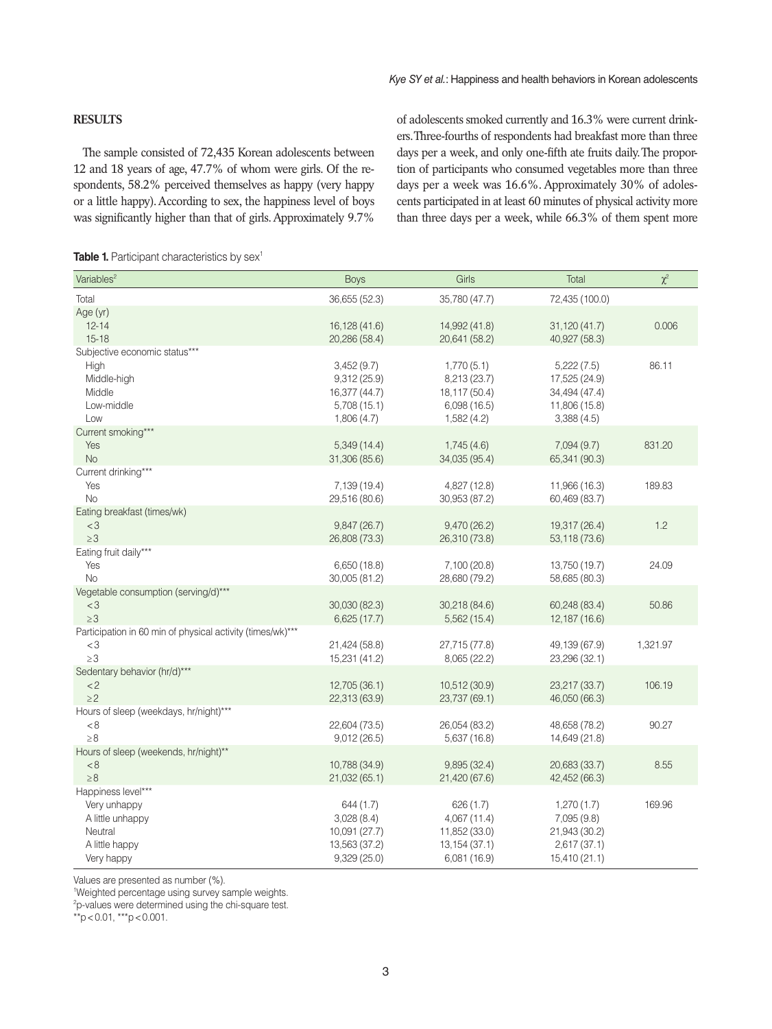#### **RESULTS**

The sample consisted of 72,435 Korean adolescents between 12 and 18 years of age, 47.7% of whom were girls. Of the respondents, 58.2% perceived themselves as happy (very happy or a little happy). According to sex, the happiness level of boys was significantly higher than that of girls. Approximately 9.7%

of adolescents smoked currently and 16.3% were current drinkers. Three-fourths of respondents had breakfast more than three days per a week, and only one-fifth ate fruits daily. The proportion of participants who consumed vegetables more than three days per a week was 16.6%. Approximately 30% of adolescents participated in at least 60 minutes of physical activity more than three days per a week, while 66.3% of them spent more

|  |  | <b>Table 1.</b> Participant characteristics by sex <sup>1</sup> |  |
|--|--|-----------------------------------------------------------------|--|
|--|--|-----------------------------------------------------------------|--|

| Variables <sup>2</sup>                                                                            | <b>Boys</b>                                                               | Girls                                                                        | Total                                                                       | $\chi^2$ |
|---------------------------------------------------------------------------------------------------|---------------------------------------------------------------------------|------------------------------------------------------------------------------|-----------------------------------------------------------------------------|----------|
| Total                                                                                             | 36,655 (52.3)                                                             | 35,780 (47.7)                                                                | 72,435 (100.0)                                                              |          |
| Age (yr)<br>$12 - 14$<br>$15 - 18$                                                                | 16,128 (41.6)<br>20,286 (58.4)                                            | 14,992 (41.8)<br>20,641 (58.2)                                               | 31,120 (41.7)<br>40,927 (58.3)                                              | 0.006    |
| Subjective economic status***<br>High<br>Middle-high<br>Middle<br>Low-middle<br>Low               | 3,452(9.7)<br>9,312(25.9)<br>16,377 (44.7)<br>5,708(15.1)<br>1,806(4.7)   | 1,770(5.1)<br>8,213 (23.7)<br>18,117 (50.4)<br>6,098(16.5)<br>1,582(4.2)     | 5,222(7.5)<br>17,525 (24.9)<br>34,494 (47.4)<br>11,806 (15.8)<br>3,388(4.5) | 86.11    |
| Current smoking***<br>Yes<br><b>No</b>                                                            | 5,349(14.4)<br>31,306 (85.6)                                              | 1,745(4.6)<br>34,035 (95.4)                                                  | 7,094(9.7)<br>65,341 (90.3)                                                 | 831.20   |
| Current drinking***<br>Yes<br><b>No</b>                                                           | 7,139 (19.4)<br>29,516 (80.6)                                             | 4,827 (12.8)<br>30,953 (87.2)                                                | 11,966 (16.3)<br>60,469 (83.7)                                              | 189.83   |
| Eating breakfast (times/wk)<br>$<$ 3<br>$\geq 3$                                                  | 9,847 (26.7)<br>26,808 (73.3)                                             | 9,470 (26.2)<br>26,310 (73.8)                                                | 19,317 (26.4)<br>53,118 (73.6)                                              | 1.2      |
| Eating fruit daily***<br>Yes<br><b>No</b>                                                         | 6,650(18.8)<br>30,005 (81.2)                                              | 7,100 (20.8)<br>28,680 (79.2)                                                | 13,750 (19.7)<br>58,685 (80.3)                                              | 24.09    |
| Vegetable consumption (serving/d)***<br>$<$ 3<br>$\geq 3$                                         | 30,030 (82.3)<br>6,625 (17.7)                                             | 30,218 (84.6)<br>5,562(15.4)                                                 | 60,248 (83.4)<br>12,187 (16.6)                                              | 50.86    |
| Participation in 60 min of physical activity (times/wk)***<br>$<$ 3<br>$\geq 3$                   | 21,424 (58.8)<br>15,231 (41.2)                                            | 27,715 (77.8)<br>8,065 (22.2)                                                | 49,139 (67.9)<br>23,296 (32.1)                                              | 1,321.97 |
| Sedentary behavior (hr/d)***<br>< 2<br>$\geq$ 2                                                   | 12,705 (36.1)<br>22,313 (63.9)                                            | 10,512 (30.9)<br>23,737 (69.1)                                               | 23,217 (33.7)<br>46,050 (66.3)                                              | 106.19   |
| Hours of sleep (weekdays, hr/night)***<br>< 8<br>$\geq 8$                                         | 22,604 (73.5)<br>9,012(26.5)                                              | 26,054 (83.2)<br>5,637 (16.8)                                                | 48,658 (78.2)<br>14,649 (21.8)                                              | 90.27    |
| Hours of sleep (weekends, hr/night)**<br>< 8<br>$\geq 8$                                          | 10,788 (34.9)<br>21,032 (65.1)                                            | 9,895(32.4)<br>21,420 (67.6)                                                 | 20,683 (33.7)<br>42,452 (66.3)                                              | 8.55     |
| Happiness level***<br>Very unhappy<br>A little unhappy<br>Neutral<br>A little happy<br>Very happy | 644 (1.7)<br>3,028(8.4)<br>10,091 (27.7)<br>13,563 (37.2)<br>9,329 (25.0) | 626 (1.7)<br>4,067 (11.4)<br>11,852 (33.0)<br>13, 154 (37.1)<br>6,081 (16.9) | 1,270(1.7)<br>7,095 (9.8)<br>21,943 (30.2)<br>2,617(37.1)<br>15,410 (21.1)  | 169.96   |

Values are presented as number (%).

1 Weighted percentage using survey sample weights.

<sup>2</sup>p-values were determined using the chi-square test.

 $*$ <sup>\*</sup> $p$  < 0.01, \*\*\*p < 0.001.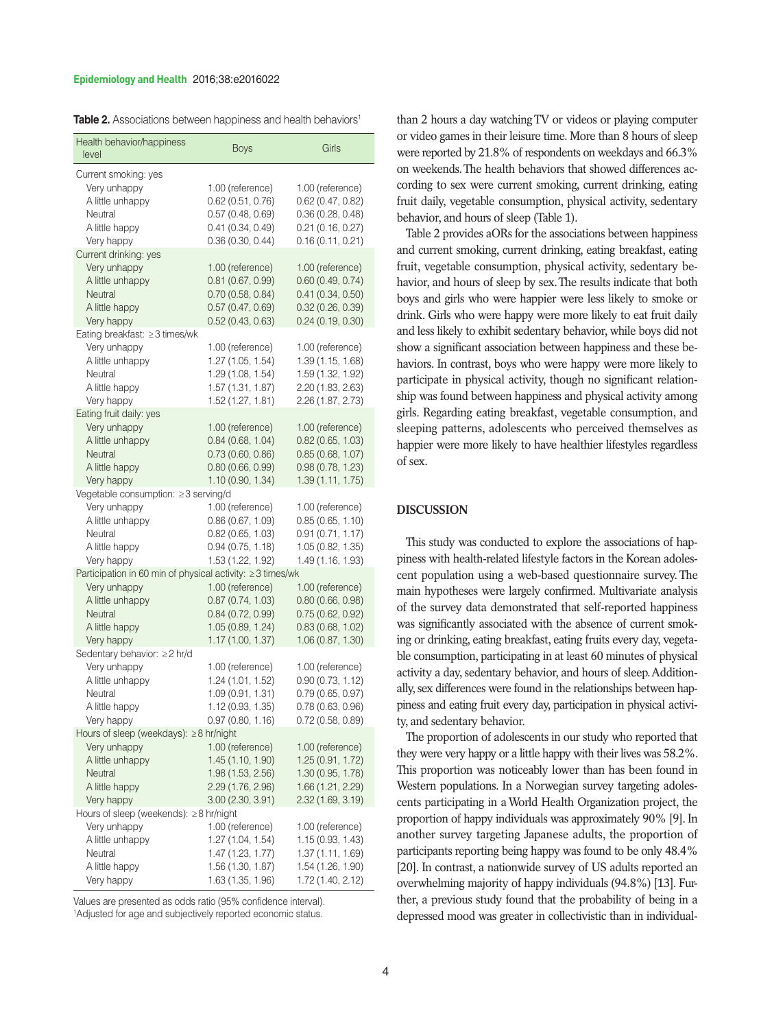#### **Epidemiology and Health** 2016;38:e2016022

| <b>Table 2.</b> Associations between happiness and health behaviors <sup>1</sup> |  |  |  |
|----------------------------------------------------------------------------------|--|--|--|
|----------------------------------------------------------------------------------|--|--|--|

| Health behavior/happiness<br>level                                                                                                       | <b>Boys</b>                                                                                          | Girls                                                                                                |
|------------------------------------------------------------------------------------------------------------------------------------------|------------------------------------------------------------------------------------------------------|------------------------------------------------------------------------------------------------------|
| Current smoking: yes<br>Very unhappy<br>A little unhappy<br>Neutral<br>A little happy<br>Very happy                                      | 1.00 (reference)<br>0.62(0.51, 0.76)<br>0.57(0.48, 0.69)<br>0.41(0.34, 0.49)<br>0.36(0.30, 0.44)     | 1.00 (reference)<br>0.62(0.47, 0.82)<br>0.36(0.28, 0.48)<br>0.21(0.16, 0.27)<br>0.16(0.11, 0.21)     |
| Current drinking: yes<br>Very unhappy<br>A little unhappy<br>Neutral<br>A little happy<br>Very happy                                     | 1.00 (reference)<br>0.81(0.67, 0.99)<br>0.70(0.58, 0.84)<br>0.57(0.47, 0.69)<br>0.52(0.43, 0.63)     | 1.00 (reference)<br>0.60(0.49, 0.74)<br>0.41(0.34, 0.50)<br>0.32(0.26, 0.39)<br>0.24(0.19, 0.30)     |
| Eating breakfast: ≥3 times/wk<br>Very unhappy<br>A little unhappy<br>Neutral<br>A little happy<br>Very happy                             | 1.00 (reference)<br>1.27 (1.05, 1.54)<br>1.29 (1.08, 1.54)<br>1.57 (1.31, 1.87)<br>1.52 (1.27, 1.81) | 1.00 (reference)<br>1.39 (1.15, 1.68)<br>1.59 (1.32, 1.92)<br>2.20 (1.83, 2.63)<br>2.26 (1.87, 2.73) |
| Eating fruit daily: yes<br>Very unhappy<br>A little unhappy<br>Neutral<br>A little happy<br>Very happy                                   | 1.00 (reference)<br>0.84(0.68, 1.04)<br>0.73(0.60, 0.86)<br>0.80(0.66, 0.99)<br>1.10 (0.90, 1.34)    | 1.00 (reference)<br>0.82(0.65, 1.03)<br>0.85(0.68, 1.07)<br>0.98(0.78, 1.23)<br>1.39 (1.11, 1.75)    |
| Vegetable consumption: ≥3 serving/d<br>Very unhappy<br>A little unhappy<br>Neutral<br>A little happy<br>Very happy                       | 1.00 (reference)<br>0.86(0.67, 1.09)<br>0.82(0.65, 1.03)<br>0.94(0.75, 1.18)<br>1.53 (1.22, 1.92)    | 1.00 (reference)<br>0.85(0.65, 1.10)<br>0.91(0.71, 1.17)<br>1.05 (0.82, 1.35)<br>1.49 (1.16, 1.93)   |
| Participation in 60 min of physical activity: ≥3 times/wk<br>Very unhappy<br>A little unhappy<br>Neutral<br>A little happy<br>Very happy | 1.00 (reference)<br>0.87(0.74, 1.03)<br>0.84(0.72, 0.99)<br>1.05 (0.89, 1.24)<br>1.17 (1.00, 1.37)   | 1.00 (reference)<br>0.80(0.66, 0.98)<br>0.75(0.62, 0.92)<br>0.83(0.68, 1.02)<br>1.06 (0.87, 1.30)    |
| Sedentary behavior: ≥2 hr/d<br>Very unhappy<br>A little unhappy<br>Neutral<br>A little happy<br>Very happy                               | 1.00 (reference)<br>1.24 (1.01, 1.52)<br>1.09 (0.91, 1.31)<br>1.12 (0.93, 1.35)<br>0.97(0.80, 1.16)  | 1.00 (reference)<br>0.90(0.73, 1.12)<br>0.79(0.65, 0.97)<br>0.78 (0.63, 0.96)<br>0.72(0.58, 0.89)    |
| Hours of sleep (weekdays): ≥8 hr/night<br>Very unhappy<br>A little unhappy<br>Neutral<br>A little happy<br>Very happy                    | 1.00 (reference)<br>1.45 (1.10, 1.90)<br>1.98 (1.53, 2.56)<br>2.29 (1.76, 2.96)<br>3.00 (2.30, 3.91) | 1.00 (reference)<br>1.25 (0.91, 1.72)<br>1.30 (0.95, 1.78)<br>1.66 (1.21, 2.29)<br>2.32 (1.69, 3.19) |
| Hours of sleep (weekends): ≥8 hr/night<br>Very unhappy<br>A little unhappy<br>Neutral<br>A little happy<br>Very happy                    | 1.00 (reference)<br>1.27 (1.04, 1.54)<br>1.47 (1.23, 1.77)<br>1.56 (1.30, 1.87)<br>1.63 (1.35, 1.96) | 1.00 (reference)<br>1.15(0.93, 1.43)<br>1.37 (1.11, 1.69)<br>1.54 (1.26, 1.90)<br>1.72 (1.40, 2.12)  |

Values are presented as odds ratio (95% confidence interval). <sup>1</sup>Adjusted for age and subjectively reported economic status.

than 2 hours a day watching TV or videos or playing computer or video games in their leisure time. More than 8 hours of sleep were reported by 21.8% of respondents on weekdays and 66.3% on weekends. The health behaviors that showed differences according to sex were current smoking, current drinking, eating fruit daily, vegetable consumption, physical activity, sedentary behavior, and hours of sleep (Table 1).

Table 2 provides aORs for the associations between happiness and current smoking, current drinking, eating breakfast, eating fruit, vegetable consumption, physical activity, sedentary behavior, and hours of sleep by sex. The results indicate that both boys and girls who were happier were less likely to smoke or drink. Girls who were happy were more likely to eat fruit daily and less likely to exhibit sedentary behavior, while boys did not show a significant association between happiness and these behaviors. In contrast, boys who were happy were more likely to participate in physical activity, though no significant relationship was found between happiness and physical activity among girls. Regarding eating breakfast, vegetable consumption, and sleeping patterns, adolescents who perceived themselves as happier were more likely to have healthier lifestyles regardless of sex.

#### **DISCUSSION**

This study was conducted to explore the associations of happiness with health-related lifestyle factors in the Korean adolescent population using a web-based questionnaire survey. The main hypotheses were largely confirmed. Multivariate analysis of the survey data demonstrated that self-reported happiness was significantly associated with the absence of current smoking or drinking, eating breakfast, eating fruits every day, vegetable consumption, participating in at least 60 minutes of physical activity a day, sedentary behavior, and hours of sleep. Additionally, sex differences were found in the relationships between happiness and eating fruit every day, participation in physical activity, and sedentary behavior.

The proportion of adolescents in our study who reported that they were very happy or a little happy with their lives was 58.2%. This proportion was noticeably lower than has been found in Western populations. In a Norwegian survey targeting adolescents participating in a World Health Organization project, the proportion of happy individuals was approximately 90% [9]. In another survey targeting Japanese adults, the proportion of participants reporting being happy was found to be only 48.4% [20]. In contrast, a nationwide survey of US adults reported an overwhelming majority of happy individuals (94.8%) [13]. Further, a previous study found that the probability of being in a depressed mood was greater in collectivistic than in individual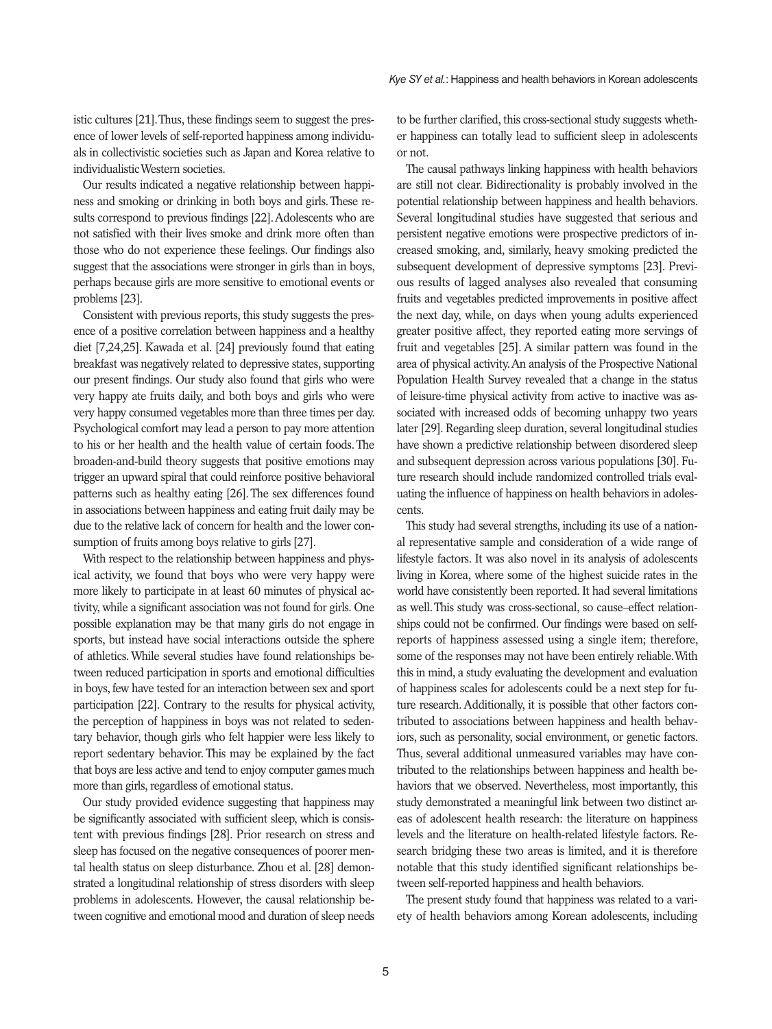istic cultures [21]. Thus, these findings seem to suggest the presence of lower levels of self-reported happiness among individuals in collectivistic societies such as Japan and Korea relative to individualistic Western societies.

Our results indicated a negative relationship between happiness and smoking or drinking in both boys and girls. These results correspond to previous findings [22]. Adolescents who are not satisfied with their lives smoke and drink more often than those who do not experience these feelings. Our findings also suggest that the associations were stronger in girls than in boys, perhaps because girls are more sensitive to emotional events or problems [23].

Consistent with previous reports, this study suggests the presence of a positive correlation between happiness and a healthy diet [7,24,25]. Kawada et al. [24] previously found that eating breakfast was negatively related to depressive states, supporting our present findings. Our study also found that girls who were very happy ate fruits daily, and both boys and girls who were very happy consumed vegetables more than three times per day. Psychological comfort may lead a person to pay more attention to his or her health and the health value of certain foods. The broaden-and-build theory suggests that positive emotions may trigger an upward spiral that could reinforce positive behavioral patterns such as healthy eating [26]. The sex differences found in associations between happiness and eating fruit daily may be due to the relative lack of concern for health and the lower consumption of fruits among boys relative to girls [27].

With respect to the relationship between happiness and physical activity, we found that boys who were very happy were more likely to participate in at least 60 minutes of physical activity, while a significant association was not found for girls. One possible explanation may be that many girls do not engage in sports, but instead have social interactions outside the sphere of athletics. While several studies have found relationships between reduced participation in sports and emotional difficulties in boys, few have tested for an interaction between sex and sport participation [22]. Contrary to the results for physical activity, the perception of happiness in boys was not related to sedentary behavior, though girls who felt happier were less likely to report sedentary behavior. This may be explained by the fact that boys are less active and tend to enjoy computer games much more than girls, regardless of emotional status.

Our study provided evidence suggesting that happiness may be significantly associated with sufficient sleep, which is consistent with previous findings [28]. Prior research on stress and sleep has focused on the negative consequences of poorer mental health status on sleep disturbance. Zhou et al. [28] demonstrated a longitudinal relationship of stress disorders with sleep problems in adolescents. However, the causal relationship between cognitive and emotional mood and duration of sleep needs to be further clarified, this cross-sectional study suggests whether happiness can totally lead to sufficient sleep in adolescents or not.

The causal pathways linking happiness with health behaviors are still not clear. Bidirectionality is probably involved in the potential relationship between happiness and health behaviors. Several longitudinal studies have suggested that serious and persistent negative emotions were prospective predictors of increased smoking, and, similarly, heavy smoking predicted the subsequent development of depressive symptoms [23]. Previous results of lagged analyses also revealed that consuming fruits and vegetables predicted improvements in positive affect the next day, while, on days when young adults experienced greater positive affect, they reported eating more servings of fruit and vegetables [25]. A similar pattern was found in the area of physical activity. An analysis of the Prospective National Population Health Survey revealed that a change in the status of leisure-time physical activity from active to inactive was associated with increased odds of becoming unhappy two years later [29]. Regarding sleep duration, several longitudinal studies have shown a predictive relationship between disordered sleep and subsequent depression across various populations [30]. Future research should include randomized controlled trials evaluating the influence of happiness on health behaviors in adolescents.

This study had several strengths, including its use of a national representative sample and consideration of a wide range of lifestyle factors. It was also novel in its analysis of adolescents living in Korea, where some of the highest suicide rates in the world have consistently been reported. It had several limitations as well. This study was cross-sectional, so cause–effect relationships could not be confirmed. Our findings were based on selfreports of happiness assessed using a single item; therefore, some of the responses may not have been entirely reliable. With this in mind, a study evaluating the development and evaluation of happiness scales for adolescents could be a next step for future research. Additionally, it is possible that other factors contributed to associations between happiness and health behaviors, such as personality, social environment, or genetic factors. Thus, several additional unmeasured variables may have contributed to the relationships between happiness and health behaviors that we observed. Nevertheless, most importantly, this study demonstrated a meaningful link between two distinct areas of adolescent health research: the literature on happiness levels and the literature on health-related lifestyle factors. Research bridging these two areas is limited, and it is therefore notable that this study identified significant relationships between self-reported happiness and health behaviors.

The present study found that happiness was related to a variety of health behaviors among Korean adolescents, including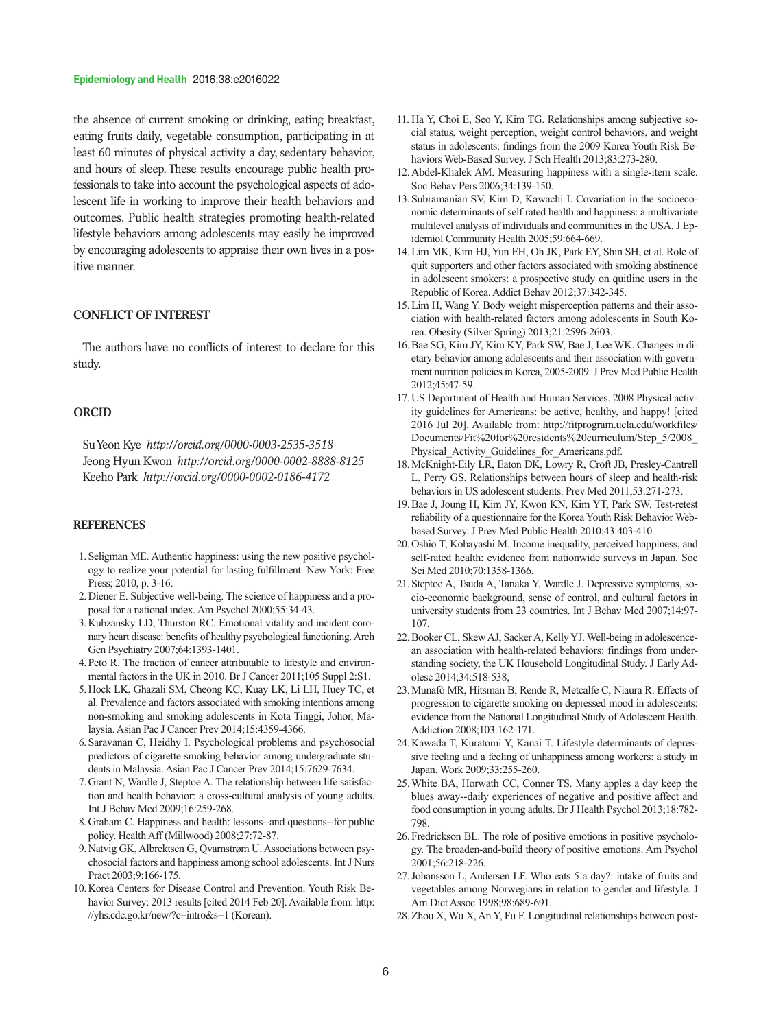#### **Epidemiology and Health** 2016;38:e2016022

the absence of current smoking or drinking, eating breakfast, eating fruits daily, vegetable consumption, participating in at least 60 minutes of physical activity a day, sedentary behavior, and hours of sleep. These results encourage public health professionals to take into account the psychological aspects of adolescent life in working to improve their health behaviors and outcomes. Public health strategies promoting health-related lifestyle behaviors among adolescents may easily be improved by encouraging adolescents to appraise their own lives in a positive manner.

#### **CONFLICT OF INTEREST**

The authors have no conflicts of interest to declare for this study.

#### **ORCID**

Su Yeon Kye *http://orcid.org/0000-0003-2535-3518* Jeong Hyun Kwon *http://orcid.org/0000-0002-8888-8125* Keeho Park *http://orcid.org/0000-0002-0186-4172*

#### **REFERENCES**

- 1.Seligman ME. Authentic happiness: using the new positive psychology to realize your potential for lasting fulfillment. New York: Free Press; 2010, p. 3-16.
- 2.Diener E. Subjective well-being. The science of happiness and a proposal for a national index. Am Psychol 2000;55:34-43.
- 3.Kubzansky LD, Thurston RC. Emotional vitality and incident coronary heart disease: benefits of healthy psychological functioning. Arch Gen Psychiatry 2007;64:1393-1401.
- 4.Peto R. The fraction of cancer attributable to lifestyle and environmental factors in the UK in 2010. Br J Cancer 2011;105 Suppl 2:S1.
- 5.Hock LK, Ghazali SM, Cheong KC, Kuay LK, Li LH, Huey TC, et al. Prevalence and factors associated with smoking intentions among non-smoking and smoking adolescents in Kota Tinggi, Johor, Malaysia. Asian Pac J Cancer Prev 2014;15:4359-4366.
- 6.Saravanan C, Heidhy I. Psychological problems and psychosocial predictors of cigarette smoking behavior among undergraduate students in Malaysia. Asian Pac J Cancer Prev 2014;15:7629-7634.
- 7.Grant N, Wardle J, Steptoe A. The relationship between life satisfaction and health behavior: a cross-cultural analysis of young adults. Int J Behav Med 2009;16:259-268.
- 8.Graham C. Happiness and health: lessons--and questions--for public policy. Health Aff (Millwood) 2008;27:72-87.
- 9.Natvig GK, Albrektsen G, Qvarnstrøm U. Associations between psychosocial factors and happiness among school adolescents. Int J Nurs Pract 2003;9:166-175.
- 10.Korea Centers for Disease Control and Prevention. Youth Risk Behavior Survey: 2013 results [cited 2014 Feb 20]. Available from: http: //yhs.cdc.go.kr/new/?c=intro&s=1 (Korean).
- 11. Ha Y, Choi E, Seo Y, Kim TG. Relationships among subjective social status, weight perception, weight control behaviors, and weight status in adolescents: findings from the 2009 Korea Youth Risk Behaviors Web-Based Survey. J Sch Health 2013;83:273-280.
- 12.Abdel-Khalek AM. Measuring happiness with a single-item scale. Soc Behav Pers 2006;34:139-150.
- 13.Subramanian SV, Kim D, Kawachi I. Covariation in the socioeconomic determinants of self rated health and happiness: a multivariate multilevel analysis of individuals and communities in the USA. J Epidemiol Community Health 2005;59:664-669.
- 14.Lim MK, Kim HJ, Yun EH, Oh JK, Park EY, Shin SH, et al. Role of quit supporters and other factors associated with smoking abstinence in adolescent smokers: a prospective study on quitline users in the Republic of Korea. Addict Behav 2012;37:342-345.
- 15.Lim H, Wang Y. Body weight misperception patterns and their association with health-related factors among adolescents in South Korea. Obesity (Silver Spring) 2013;21:2596-2603.
- 16.Bae SG, Kim JY, Kim KY, Park SW, Bae J, Lee WK. Changes in dietary behavior among adolescents and their association with government nutrition policies in Korea, 2005-2009. J Prev Med Public Health 2012;45:47-59.
- 17.US Department of Health and Human Services. 2008 Physical activity guidelines for Americans: be active, healthy, and happy! [cited 2016 Jul 20]. Available from: http://fitprogram.ucla.edu/workfiles/ Documents/Fit%20for%20residents%20curriculum/Step\_5/2008\_ Physical Activity Guidelines for Americans.pdf.
- 18.McKnight-Eily LR, Eaton DK, Lowry R, Croft JB, Presley-Cantrell L, Perry GS. Relationships between hours of sleep and health-risk behaviors in US adolescent students. Prev Med 2011;53:271-273.
- 19.Bae J, Joung H, Kim JY, Kwon KN, Kim YT, Park SW. Test-retest reliability of a questionnaire for the Korea Youth Risk Behavior Webbased Survey. J Prev Med Public Health 2010;43:403-410.
- 20.Oshio T, Kobayashi M. Income inequality, perceived happiness, and self-rated health: evidence from nationwide surveys in Japan. Soc Sci Med 2010;70:1358-1366.
- 21.Steptoe A, Tsuda A, Tanaka Y, Wardle J. Depressive symptoms, socio-economic background, sense of control, and cultural factors in university students from 23 countries. Int J Behav Med 2007;14:97- 107.
- 22.Booker CL, Skew AJ, Sacker A, Kelly YJ. Well-being in adolescencean association with health-related behaviors: findings from understanding society, the UK Household Longitudinal Study. J Early Adolesc 2014;34:518-538,
- 23.Munafò MR, Hitsman B, Rende R, Metcalfe C, Niaura R. Effects of progression to cigarette smoking on depressed mood in adolescents: evidence from the National Longitudinal Study of Adolescent Health. Addiction 2008;103:162-171.
- 24.Kawada T, Kuratomi Y, Kanai T. Lifestyle determinants of depressive feeling and a feeling of unhappiness among workers: a study in Japan. Work 2009;33:255-260.
- 25.White BA, Horwath CC, Conner TS. Many apples a day keep the blues away--daily experiences of negative and positive affect and food consumption in young adults. Br J Health Psychol 2013;18:782- 798.
- 26.Fredrickson BL. The role of positive emotions in positive psychology. The broaden-and-build theory of positive emotions. Am Psychol 2001;56:218-226.
- 27.Johansson L, Andersen LF. Who eats 5 a day?: intake of fruits and vegetables among Norwegians in relation to gender and lifestyle. J Am Diet Assoc 1998;98:689-691.
- 28.Zhou X, Wu X, An Y, Fu F. Longitudinal relationships between post-